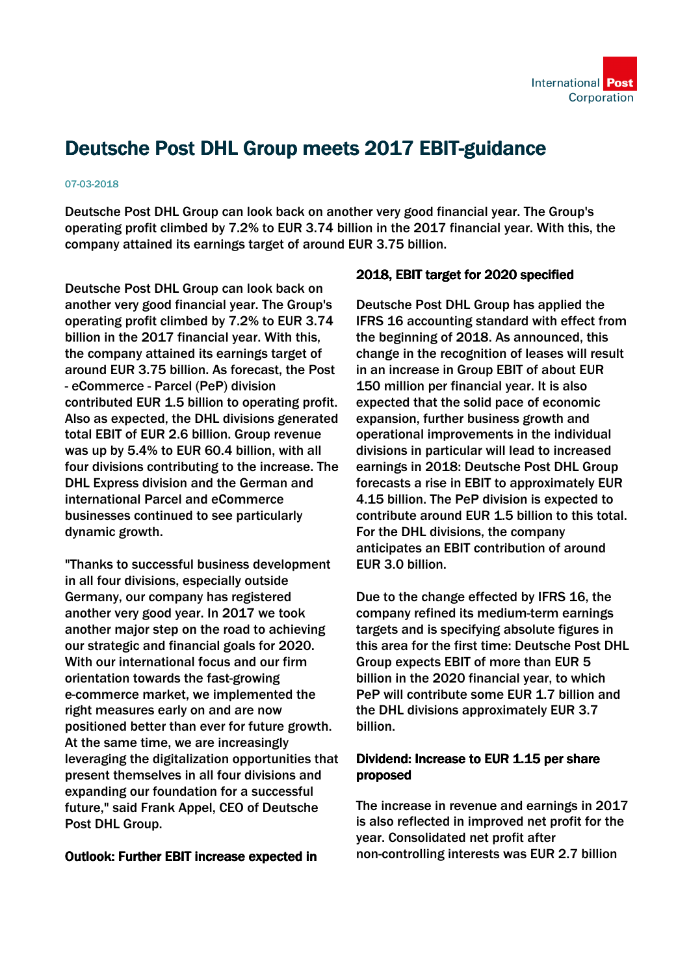# Deutsche Post DHL Group meets 2017 EBIT-guidance

#### 07-03-2018

Deutsche Post DHL Group can look back on another very good financial year. The Group's operating profit climbed by 7.2% to EUR 3.74 billion in the 2017 financial year. With this, the company attained its earnings target of around EUR 3.75 billion.

Deutsche Post DHL Group can look back on another very good financial year. The Group's operating profit climbed by 7.2% to EUR 3.74 billion in the 2017 financial year. With this, the company attained its earnings target of around EUR 3.75 billion. As forecast, the Post - eCommerce - Parcel (PeP) division contributed EUR 1.5 billion to operating profit. Also as expected, the DHL divisions generated total EBIT of EUR 2.6 billion. Group revenue was up by 5.4% to EUR 60.4 billion, with all four divisions contributing to the increase. The DHL Express division and the German and international Parcel and eCommerce businesses continued to see particularly dynamic growth.

"Thanks to successful business development in all four divisions, especially outside Germany, our company has registered another very good year. In 2017 we took another major step on the road to achieving our strategic and financial goals for 2020. With our international focus and our firm orientation towards the fast-growing e-commerce market, we implemented the right measures early on and are now positioned better than ever for future growth. At the same time, we are increasingly leveraging the digitalization opportunities that present themselves in all four divisions and expanding our foundation for a successful future," said Frank Appel, CEO of Deutsche Post DHL Group.

## Outlook: Further EBIT increase expected in

## 2018, EBIT target for 2020 specified

Deutsche Post DHL Group has applied the IFRS 16 accounting standard with effect from the beginning of 2018. As announced, this change in the recognition of leases will result in an increase in Group EBIT of about EUR 150 million per financial year. It is also expected that the solid pace of economic expansion, further business growth and operational improvements in the individual divisions in particular will lead to increased earnings in 2018: Deutsche Post DHL Group forecasts a rise in EBIT to approximately EUR 4.15 billion. The PeP division is expected to contribute around EUR 1.5 billion to this total. For the DHL divisions, the company anticipates an EBIT contribution of around EUR 3.0 billion.

Due to the change effected by IFRS 16, the company refined its medium-term earnings targets and is specifying absolute figures in this area for the first time: Deutsche Post DHL Group expects EBIT of more than EUR 5 billion in the 2020 financial year, to which PeP will contribute some EUR 1.7 billion and the DHL divisions approximately EUR 3.7 billion.

## Dividend: Increase to EUR 1.15 per share proposed

The increase in revenue and earnings in 2017 is also reflected in improved net profit for the year. Consolidated net profit after non-controlling interests was EUR 2.7 billion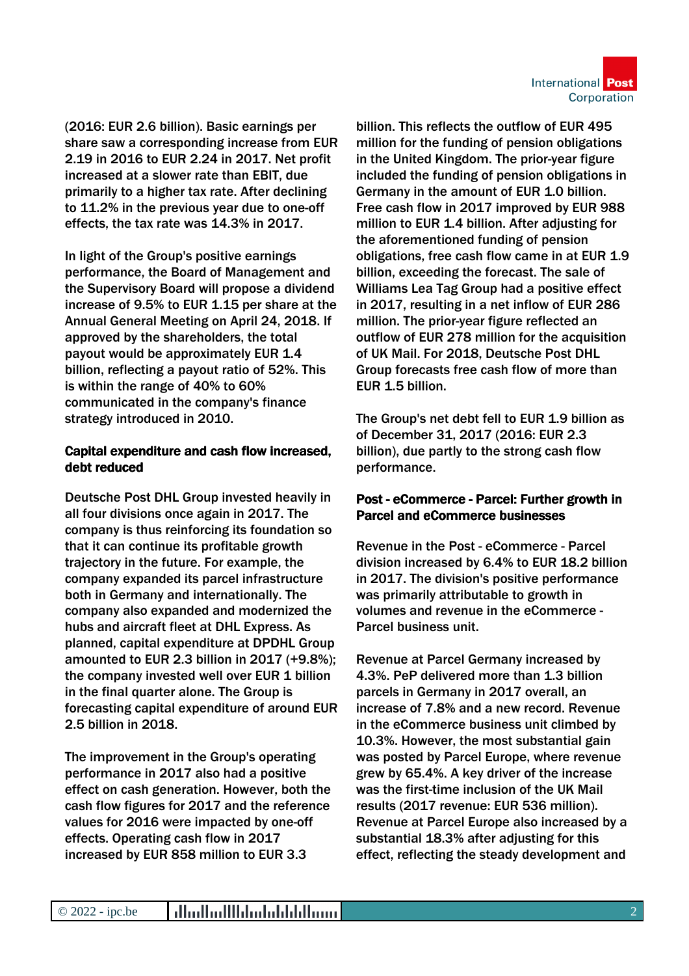(2016: EUR 2.6 billion). Basic earnings per share saw a corresponding increase from EUR 2.19 in 2016 to EUR 2.24 in 2017. Net profit increased at a slower rate than EBIT, due primarily to a higher tax rate. After declining to 11.2% in the previous year due to one-off effects, the tax rate was 14.3% in 2017.

In light of the Group's positive earnings performance, the Board of Management and the Supervisory Board will propose a dividend increase of 9.5% to EUR 1.15 per share at the Annual General Meeting on April 24, 2018. If approved by the shareholders, the total payout would be approximately EUR 1.4 billion, reflecting a payout ratio of 52%. This is within the range of 40% to 60% communicated in the company's finance strategy introduced in 2010.

## Capital expenditure and cash flow increased, debt reduced

Deutsche Post DHL Group invested heavily in all four divisions once again in 2017. The company is thus reinforcing its foundation so that it can continue its profitable growth trajectory in the future. For example, the company expanded its parcel infrastructure both in Germany and internationally. The company also expanded and modernized the hubs and aircraft fleet at DHL Express. As planned, capital expenditure at DPDHL Group amounted to EUR 2.3 billion in 2017 (+9.8%); the company invested well over EUR 1 billion in the final quarter alone. The Group is forecasting capital expenditure of around EUR 2.5 billion in 2018.

The improvement in the Group's operating performance in 2017 also had a positive effect on cash generation. However, both the cash flow figures for 2017 and the reference values for 2016 were impacted by one-off effects. Operating cash flow in 2017 increased by EUR 858 million to EUR 3.3

billion. This reflects the outflow of EUR 495 million for the funding of pension obligations in the United Kingdom. The prior-year figure included the funding of pension obligations in Germany in the amount of EUR 1.0 billion. Free cash flow in 2017 improved by EUR 988 million to EUR 1.4 billion. After adjusting for the aforementioned funding of pension obligations, free cash flow came in at EUR 1.9 billion, exceeding the forecast. The sale of Williams Lea Tag Group had a positive effect in 2017, resulting in a net inflow of EUR 286 million. The prior-year figure reflected an outflow of EUR 278 million for the acquisition of UK Mail. For 2018, Deutsche Post DHL Group forecasts free cash flow of more than EUR 1.5 billion.

The Group's net debt fell to EUR 1.9 billion as of December 31, 2017 (2016: EUR 2.3 billion), due partly to the strong cash flow performance.

## Post - eCommerce - Parcel: Further growth in Parcel and eCommerce businesses

Revenue in the Post - eCommerce - Parcel division increased by 6.4% to EUR 18.2 billion in 2017. The division's positive performance was primarily attributable to growth in volumes and revenue in the eCommerce - Parcel business unit.

Revenue at Parcel Germany increased by 4.3%. PeP delivered more than 1.3 billion parcels in Germany in 2017 overall, an increase of 7.8% and a new record. Revenue in the eCommerce business unit climbed by 10.3%. However, the most substantial gain was posted by Parcel Europe, where revenue grew by 65.4%. A key driver of the increase was the first-time inclusion of the UK Mail results (2017 revenue: EUR 536 million). Revenue at Parcel Europe also increased by a substantial 18.3% after adjusting for this effect, reflecting the steady development and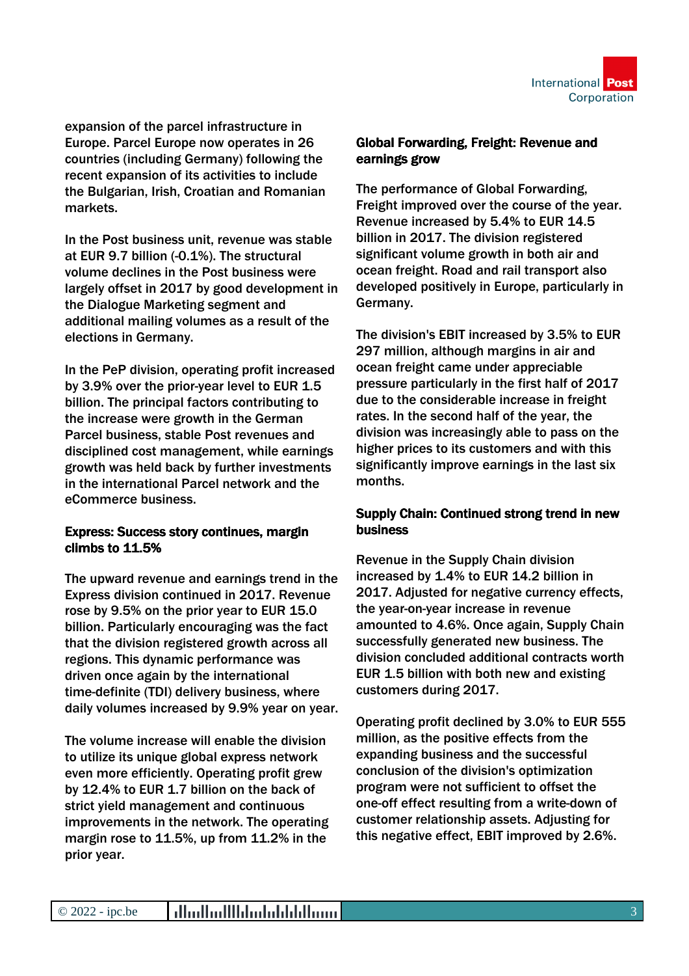

expansion of the parcel infrastructure in Europe. Parcel Europe now operates in 26 countries (including Germany) following the recent expansion of its activities to include the Bulgarian, Irish, Croatian and Romanian markets.

In the Post business unit, revenue was stable at EUR 9.7 billion (-0.1%). The structural volume declines in the Post business were largely offset in 2017 by good development in the Dialogue Marketing segment and additional mailing volumes as a result of the elections in Germany.

In the PeP division, operating profit increased by 3.9% over the prior-year level to EUR 1.5 billion. The principal factors contributing to the increase were growth in the German Parcel business, stable Post revenues and disciplined cost management, while earnings growth was held back by further investments in the international Parcel network and the eCommerce business.

## Express: Success story continues, margin climbs to 11.5%

The upward revenue and earnings trend in the Express division continued in 2017. Revenue rose by 9.5% on the prior year to EUR 15.0 billion. Particularly encouraging was the fact that the division registered growth across all regions. This dynamic performance was driven once again by the international time-definite (TDI) delivery business, where daily volumes increased by 9.9% year on year.

The volume increase will enable the division to utilize its unique global express network even more efficiently. Operating profit grew by 12.4% to EUR 1.7 billion on the back of strict yield management and continuous improvements in the network. The operating margin rose to 11.5%, up from 11.2% in the prior year.

## Global Forwarding, Freight: Revenue and earnings grow

The performance of Global Forwarding, Freight improved over the course of the year. Revenue increased by 5.4% to EUR 14.5 billion in 2017. The division registered significant volume growth in both air and ocean freight. Road and rail transport also developed positively in Europe, particularly in Germany.

The division's EBIT increased by 3.5% to EUR 297 million, although margins in air and ocean freight came under appreciable pressure particularly in the first half of 2017 due to the considerable increase in freight rates. In the second half of the year, the division was increasingly able to pass on the higher prices to its customers and with this significantly improve earnings in the last six months.

## Supply Chain: Continued strong trend in new business

Revenue in the Supply Chain division increased by 1.4% to EUR 14.2 billion in 2017. Adjusted for negative currency effects, the year-on-year increase in revenue amounted to 4.6%. Once again, Supply Chain successfully generated new business. The division concluded additional contracts worth EUR 1.5 billion with both new and existing customers during 2017.

Operating profit declined by 3.0% to EUR 555 million, as the positive effects from the expanding business and the successful conclusion of the division's optimization program were not sufficient to offset the one-off effect resulting from a write-down of customer relationship assets. Adjusting for this negative effect, EBIT improved by 2.6%.